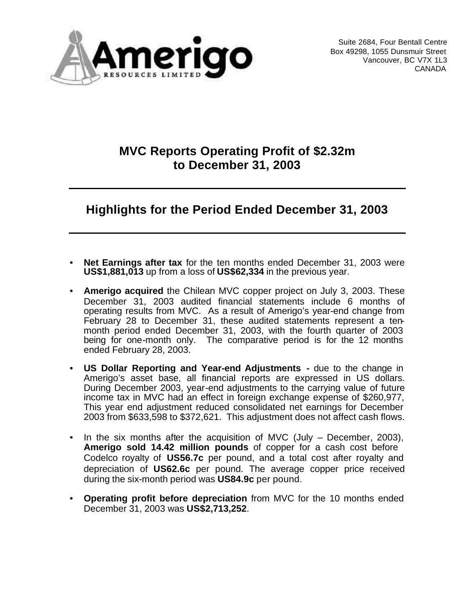

Suite 2684, Four Bentall Centre Box 49298, 1055 Dunsmuir Street Vancouver, BC V7X 1L3 CANADA

### **MVC Reports Operating Profit of \$2.32m to December 31, 2003**

# **Highlights for the Period Ended December 31, 2003**

- **Net Earnings after tax** for the ten months ended December 31, 2003 were **US\$1,881,013** up from a loss of **US\$62,334** in the previous year.
- **Amerigo acquired** the Chilean MVC copper project on July 3, 2003. These December 31, 2003 audited financial statements include 6 months of operating results from MVC. As a result of Amerigo's year-end change from February 28 to December 31, these audited statements represent a tenmonth period ended December 31, 2003, with the fourth quarter of 2003 being for one-month only. The comparative period is for the 12 months ended February 28, 2003.
- **US Dollar Reporting and Year-end Adjustments -** due to the change in Amerigo's asset base, all financial reports are expressed in US dollars. During December 2003, year-end adjustments to the carrying value of future income tax in MVC had an effect in foreign exchange expense of \$260,977, This year end adjustment reduced consolidated net earnings for December 2003 from \$633,598 to \$372,621. This adjustment does not affect cash flows.
- In the six months after the acquisition of MVC (July  $-$  December, 2003), **Amerigo sold 14.42 million pounds** of copper for a cash cost before Codelco royalty of **US56.7c** per pound, and a total cost after royalty and depreciation of **US62.6c** per pound. The average copper price received during the six-month period was **US84.9c** per pound.
- **Operating profit before depreciation** from MVC for the 10 months ended December 31, 2003 was **US\$2,713,252**.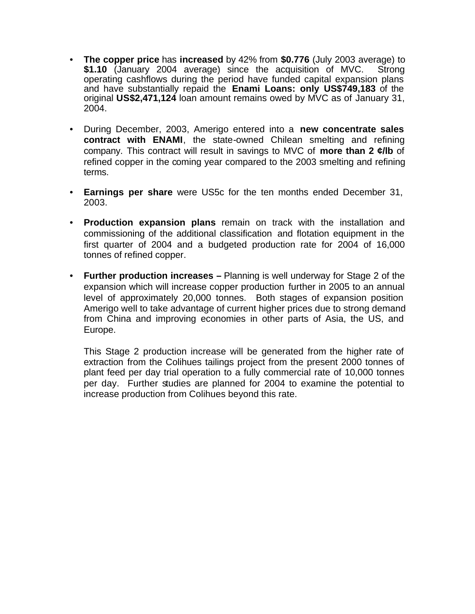- **The copper price** has **increased** by 42% from **\$0.776** (July 2003 average) to **\$1.10** (January 2004 average) since the acquisition of MVC. Strong operating cashflows during the period have funded capital expansion plans and have substantially repaid the **Enami Loans: only US\$749,183** of the original **US\$2,471,124** loan amount remains owed by MVC as of January 31, 2004.
- During December, 2003, Amerigo entered into a **new concentrate sales contract with ENAMI**, the state-owned Chilean smelting and refining company. This contract will result in savings to MVC of **more than 2 ¢/lb** of refined copper in the coming year compared to the 2003 smelting and refining terms.
- **Earnings per share** were US5c for the ten months ended December 31, 2003.
- **Production expansion plans** remain on track with the installation and commissioning of the additional classification and flotation equipment in the first quarter of 2004 and a budgeted production rate for 2004 of 16,000 tonnes of refined copper.
- **Further production increases –** Planning is well underway for Stage 2 of the expansion which will increase copper production further in 2005 to an annual level of approximately 20,000 tonnes. Both stages of expansion position Amerigo well to take advantage of current higher prices due to strong demand from China and improving economies in other parts of Asia, the US, and Europe.

This Stage 2 production increase will be generated from the higher rate of extraction from the Colihues tailings project from the present 2000 tonnes of plant feed per day trial operation to a fully commercial rate of 10,000 tonnes per day. Further studies are planned for 2004 to examine the potential to increase production from Colihues beyond this rate.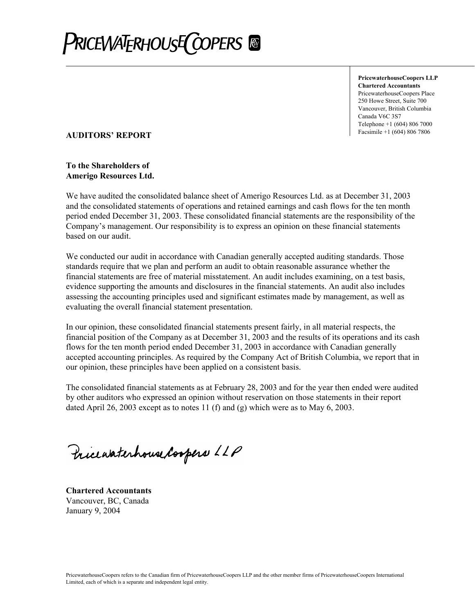

**PricewaterhouseCoopers LLP Chartered Accountants** PricewaterhouseCoopers Place 250 Howe Street, Suite 700 Vancouver, British Columbia Canada V6C 3S7 Telephone +1 (604) 806 7000

### Facsimile +1 (604) 806 7806 **AUDITORS' REPORT**

#### **To the Shareholders of Amerigo Resources Ltd.**

We have audited the consolidated balance sheet of Amerigo Resources Ltd. as at December 31, 2003 and the consolidated statements of operations and retained earnings and cash flows for the ten month period ended December 31, 2003. These consolidated financial statements are the responsibility of the Company's management. Our responsibility is to express an opinion on these financial statements based on our audit.

We conducted our audit in accordance with Canadian generally accepted auditing standards. Those standards require that we plan and perform an audit to obtain reasonable assurance whether the financial statements are free of material misstatement. An audit includes examining, on a test basis, evidence supporting the amounts and disclosures in the financial statements. An audit also includes assessing the accounting principles used and significant estimates made by management, as well as evaluating the overall financial statement presentation.

In our opinion, these consolidated financial statements present fairly, in all material respects, the financial position of the Company as at December 31, 2003 and the results of its operations and its cash flows for the ten month period ended December 31, 2003 in accordance with Canadian generally accepted accounting principles. As required by the Company Act of British Columbia, we report that in our opinion, these principles have been applied on a consistent basis.

The consolidated financial statements as at February 28, 2003 and for the year then ended were audited by other auditors who expressed an opinion without reservation on those statements in their report dated April 26, 2003 except as to notes 11 (f) and (g) which were as to May 6, 2003.

Pricewaterhouse Coopers LLP

**Chartered Accountants**  Vancouver, BC, Canada January 9, 2004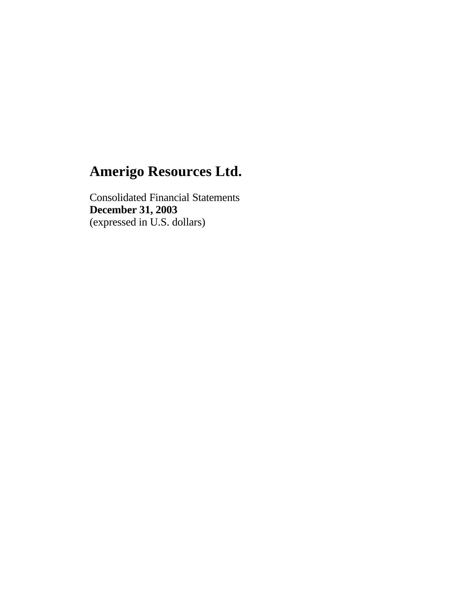Consolidated Financial Statements **December 31, 2003** (expressed in U.S. dollars)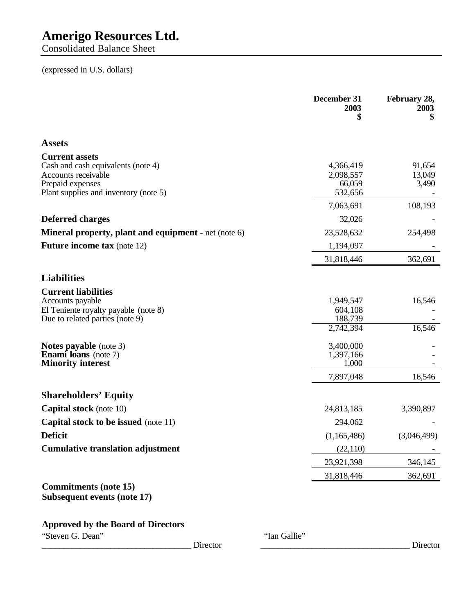Consolidated Balance Sheet

### (expressed in U.S. dollars)

|                                                                                                                                                 | December 31<br>2003<br>\$                    | February 28,<br>2003<br>\$ |
|-------------------------------------------------------------------------------------------------------------------------------------------------|----------------------------------------------|----------------------------|
| <b>Assets</b>                                                                                                                                   |                                              |                            |
| <b>Current assets</b><br>Cash and cash equivalents (note 4)<br>Accounts receivable<br>Prepaid expenses<br>Plant supplies and inventory (note 5) | 4,366,419<br>2,098,557<br>66,059<br>532,656  | 91,654<br>13,049<br>3,490  |
|                                                                                                                                                 | 7,063,691                                    | 108,193                    |
| <b>Deferred charges</b>                                                                                                                         | 32,026                                       |                            |
| Mineral property, plant and equipment - net (note 6)                                                                                            | 23,528,632                                   | 254,498                    |
| <b>Future income tax</b> (note 12)                                                                                                              | 1,194,097                                    |                            |
|                                                                                                                                                 | 31,818,446                                   | 362,691                    |
| <b>Liabilities</b>                                                                                                                              |                                              |                            |
| <b>Current liabilities</b><br>Accounts payable<br>El Teniente royalty payable (note 8)<br>Due to related parties (note 9)                       | 1,949,547<br>604,108<br>188,739<br>2,742,394 | 16,546<br>16,546           |
| <b>Notes payable</b> (note 3)<br>Enami loans (note 7)<br><b>Minority interest</b>                                                               | 3,400,000<br>1,397,166<br>1,000<br>7,897,048 | 16,546                     |
| <b>Shareholders' Equity</b>                                                                                                                     |                                              |                            |
| <b>Capital stock</b> (note 10)                                                                                                                  | 24,813,185                                   | 3,390,897                  |
| <b>Capital stock to be issued</b> (note 11)                                                                                                     | 294,062                                      |                            |
| <b>Deficit</b>                                                                                                                                  | (1,165,486)                                  | (3,046,499)                |
| <b>Cumulative translation adjustment</b>                                                                                                        | (22,110)                                     |                            |
|                                                                                                                                                 | 23,921,398                                   | 346,145                    |
|                                                                                                                                                 | 31,818,446                                   | 362,691                    |
| <b>Commitments (note 15)</b><br><b>Subsequent events (note 17)</b>                                                                              |                                              |                            |
| <b>Approved by the Board of Directors</b>                                                                                                       |                                              |                            |

"Steven G. Dean" "Ian Gallie" "Ian Gallie"

\_\_\_\_\_\_\_\_\_\_\_\_\_\_\_\_\_\_\_\_\_\_\_\_\_\_\_\_\_\_\_\_\_\_\_ Director \_\_\_\_\_\_\_\_\_\_\_\_\_\_\_\_\_\_\_\_\_\_\_\_\_\_\_\_\_\_\_\_\_\_\_ Director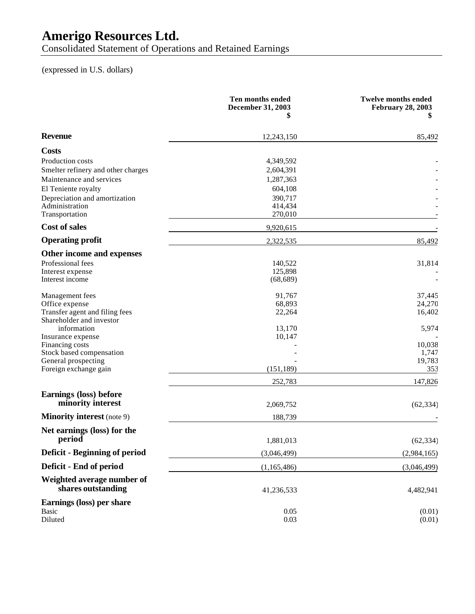Consolidated Statement of Operations and Retained Earnings

### (expressed in U.S. dollars)

|                                                  | Ten months ended<br><b>December 31, 2003</b><br>5 | <b>Twelve months ended</b><br><b>February 28, 2003</b><br>5 |
|--------------------------------------------------|---------------------------------------------------|-------------------------------------------------------------|
| <b>Revenue</b>                                   | 12,243,150                                        | 85,492                                                      |
| <b>Costs</b>                                     |                                                   |                                                             |
| Production costs                                 | 4,349,592                                         |                                                             |
| Smelter refinery and other charges               | 2,604,391                                         |                                                             |
| Maintenance and services                         | 1,287,363                                         |                                                             |
| El Teniente royalty                              | 604,108                                           |                                                             |
| Depreciation and amortization                    | 390,717                                           |                                                             |
| Administration<br>Transportation                 | 414,434<br>270,010                                |                                                             |
| <b>Cost of sales</b>                             | 9,920,615                                         |                                                             |
| <b>Operating profit</b>                          | 2,322,535                                         | 85,492                                                      |
| Other income and expenses                        |                                                   |                                                             |
| Professional fees                                | 140,522                                           | 31,814                                                      |
| Interest expense                                 | 125,898                                           |                                                             |
| Interest income                                  | (68, 689)                                         |                                                             |
| Management fees                                  | 91,767                                            | 37,445                                                      |
| Office expense                                   | 68,893                                            | 24,270                                                      |
| Transfer agent and filing fees                   | 22,264                                            | 16,402                                                      |
| Shareholder and investor                         |                                                   |                                                             |
| information<br>Insurance expense                 | 13,170<br>10,147                                  | 5,974                                                       |
| Financing costs                                  |                                                   | 10,038                                                      |
| Stock based compensation                         |                                                   | 1,747                                                       |
| General prospecting                              |                                                   | 19,783                                                      |
| Foreign exchange gain                            | (151, 189)                                        | 353                                                         |
|                                                  | 252,783                                           | 147,826                                                     |
| Earnings (loss) before<br>minority interest      |                                                   |                                                             |
| <b>Minority interest</b> (note 9)                | 2,069,752                                         | (62, 334)                                                   |
|                                                  | 188,739                                           |                                                             |
| Net earnings (loss) for the<br>period            | 1,881,013                                         | (62, 334)                                                   |
| <b>Deficit - Beginning of period</b>             | (3,046,499)                                       | (2,984,165)                                                 |
| Deficit - End of period                          |                                                   |                                                             |
|                                                  | (1,165,486)                                       | (3,046,499)                                                 |
| Weighted average number of<br>shares outstanding | 41,236,533                                        | 4,482,941                                                   |
| Earnings (loss) per share                        |                                                   |                                                             |
| Basic                                            | 0.05                                              | (0.01)                                                      |
| Diluted                                          | 0.03                                              | (0.01)                                                      |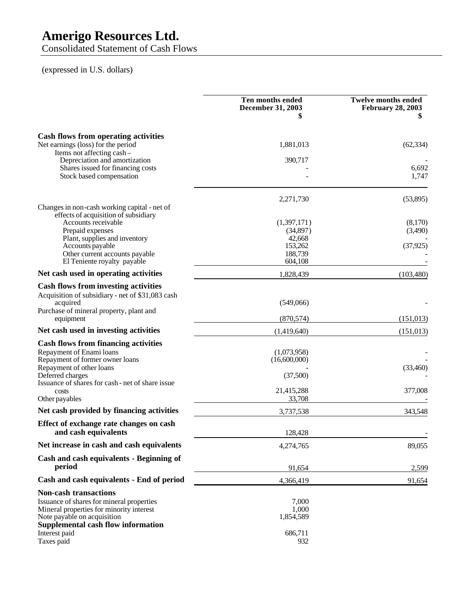Consolidated Statement of Cash Flows

### (expressed in U.S. dollars)

|                                                                                                                                                                                                                    | Ten months ended<br><b>December 31, 2003</b><br>55                  | <b>Twelve months ended</b><br><b>February 28, 2003</b> |
|--------------------------------------------------------------------------------------------------------------------------------------------------------------------------------------------------------------------|---------------------------------------------------------------------|--------------------------------------------------------|
| Cash flows from operating activities<br>Net earnings (loss) for the period<br>Items not affecting cash-                                                                                                            | 1,881,013                                                           | (62, 334)                                              |
| Depreciation and amortization<br>Shares issued for financing costs<br>Stock based compensation                                                                                                                     | 390,717                                                             | 6,692<br>1,747                                         |
| Changes in non-cash working capital - net of<br>effects of acquisition of subsidiary                                                                                                                               | 2,271,730                                                           | (53,895)                                               |
| Accounts receivable<br>Prepaid expenses<br>Plant, supplies and inventory<br>Accounts payable<br>Other current accounts payable<br>El Teniente royalty payable                                                      | (1,397,171)<br>(34, 897)<br>42,668<br>153,262<br>188,739<br>604,108 | (8,170)<br>(3,490)<br>(37, 925)                        |
| Net cash used in operating activities                                                                                                                                                                              | 1,828,439                                                           | (103, 480)                                             |
| <b>Cash flows from investing activities</b><br>Acquisition of subsidiary - net of \$31,083 cash<br>acquired<br>Purchase of mineral property, plant and<br>equipment                                                | (549,066)<br>(870, 574)                                             | (151, 013)                                             |
| Net cash used in investing activities                                                                                                                                                                              | (1,419,640)                                                         | (151, 013)                                             |
| <b>Cash flows from financing activities</b><br>Repayment of Enami loans<br>Repayment of former owner loans<br>Repayment of other loans<br>Deferred charges<br>Issuance of shares for cash - net of share issue     | (1,073,958)<br>(16,600,000)<br>(37,500)                             | (33,460)                                               |
| costs<br>Other payables                                                                                                                                                                                            | 21,415,288<br>33,708                                                | 377,008                                                |
| Net cash provided by financing activities                                                                                                                                                                          | 3,737,538                                                           | 343,548                                                |
| Effect of exchange rate changes on cash<br>and cash equivalents                                                                                                                                                    | 128,428                                                             |                                                        |
| Net increase in cash and cash equivalents                                                                                                                                                                          | 4,274,765                                                           | 89,055                                                 |
| Cash and cash equivalents - Beginning of<br>period                                                                                                                                                                 | 91,654                                                              | 2,599                                                  |
| Cash and cash equivalents - End of period                                                                                                                                                                          | 4,366,419                                                           | 91,654                                                 |
| <b>Non-cash transactions</b><br>Issuance of shares for mineral properties<br>Mineral properties for minority interest<br>Note payable on acquisition<br><b>Supplemental cash flow information</b><br>Interest paid | 7,000<br>1,000<br>1,854,589<br>686,711                              |                                                        |
| Taxes paid                                                                                                                                                                                                         | 932                                                                 |                                                        |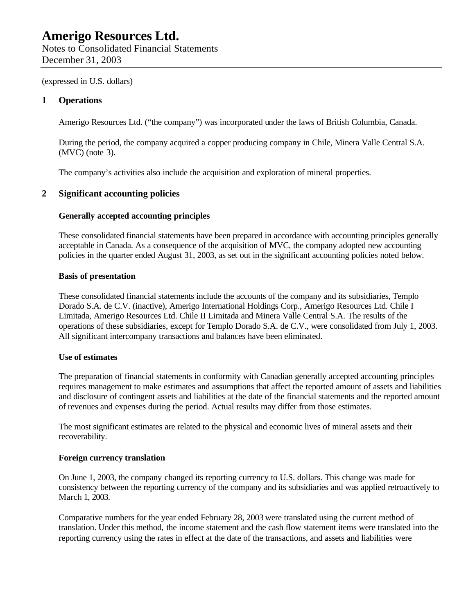(expressed in U.S. dollars)

#### **1 Operations**

Amerigo Resources Ltd. ("the company") was incorporated under the laws of British Columbia, Canada.

During the period, the company acquired a copper producing company in Chile, Minera Valle Central S.A. (MVC) (note 3).

The company's activities also include the acquisition and exploration of mineral properties.

#### **2 Significant accounting policies**

#### **Generally accepted accounting principles**

These consolidated financial statements have been prepared in accordance with accounting principles generally acceptable in Canada. As a consequence of the acquisition of MVC, the company adopted new accounting policies in the quarter ended August 31, 2003, as set out in the significant accounting policies noted below.

#### **Basis of presentation**

These consolidated financial statements include the accounts of the company and its subsidiaries, Templo Dorado S.A. de C.V. (inactive), Amerigo International Holdings Corp., Amerigo Resources Ltd. Chile I Limitada, Amerigo Resources Ltd. Chile II Limitada and Minera Valle Central S.A. The results of the operations of these subsidiaries, except for Templo Dorado S.A. de C.V., were consolidated from July 1, 2003. All significant intercompany transactions and balances have been eliminated.

#### **Use of estimates**

The preparation of financial statements in conformity with Canadian generally accepted accounting principles requires management to make estimates and assumptions that affect the reported amount of assets and liabilities and disclosure of contingent assets and liabilities at the date of the financial statements and the reported amount of revenues and expenses during the period. Actual results may differ from those estimates.

The most significant estimates are related to the physical and economic lives of mineral assets and their recoverability.

#### **Foreign currency translation**

On June 1, 2003, the company changed its reporting currency to U.S. dollars. This change was made for consistency between the reporting currency of the company and its subsidiaries and was applied retroactively to March 1, 2003.

Comparative numbers for the year ended February 28, 2003 were translated using the current method of translation. Under this method, the income statement and the cash flow statement items were translated into the reporting currency using the rates in effect at the date of the transactions, and assets and liabilities were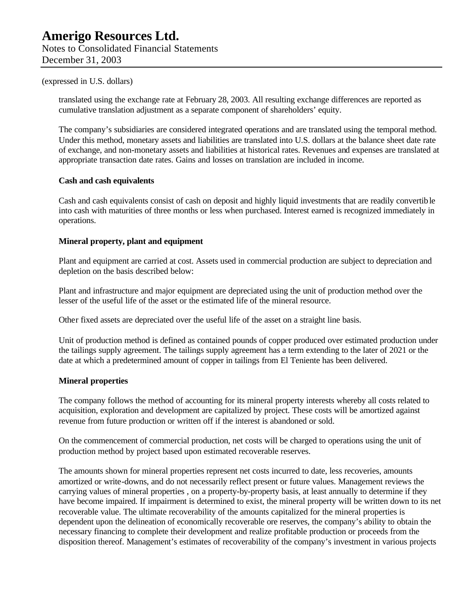#### (expressed in U.S. dollars)

translated using the exchange rate at February 28, 2003. All resulting exchange differences are reported as cumulative translation adjustment as a separate component of shareholders' equity.

The company's subsidiaries are considered integrated operations and are translated using the temporal method. Under this method, monetary assets and liabilities are translated into U.S. dollars at the balance sheet date rate of exchange, and non-monetary assets and liabilities at historical rates. Revenues and expenses are translated at appropriate transaction date rates. Gains and losses on translation are included in income.

#### **Cash and cash equivalents**

Cash and cash equivalents consist of cash on deposit and highly liquid investments that are readily convertible into cash with maturities of three months or less when purchased. Interest earned is recognized immediately in operations.

#### **Mineral property, plant and equipment**

Plant and equipment are carried at cost. Assets used in commercial production are subject to depreciation and depletion on the basis described below:

Plant and infrastructure and major equipment are depreciated using the unit of production method over the lesser of the useful life of the asset or the estimated life of the mineral resource.

Other fixed assets are depreciated over the useful life of the asset on a straight line basis.

Unit of production method is defined as contained pounds of copper produced over estimated production under the tailings supply agreement. The tailings supply agreement has a term extending to the later of 2021 or the date at which a predetermined amount of copper in tailings from El Teniente has been delivered.

#### **Mineral properties**

The company follows the method of accounting for its mineral property interests whereby all costs related to acquisition, exploration and development are capitalized by project. These costs will be amortized against revenue from future production or written off if the interest is abandoned or sold.

On the commencement of commercial production, net costs will be charged to operations using the unit of production method by project based upon estimated recoverable reserves.

The amounts shown for mineral properties represent net costs incurred to date, less recoveries, amounts amortized or write-downs, and do not necessarily reflect present or future values. Management reviews the carrying values of mineral properties , on a property-by-property basis, at least annually to determine if they have become impaired. If impairment is determined to exist, the mineral property will be written down to its net recoverable value. The ultimate recoverability of the amounts capitalized for the mineral properties is dependent upon the delineation of economically recoverable ore reserves, the company's ability to obtain the necessary financing to complete their development and realize profitable production or proceeds from the disposition thereof. Management's estimates of recoverability of the company's investment in various projects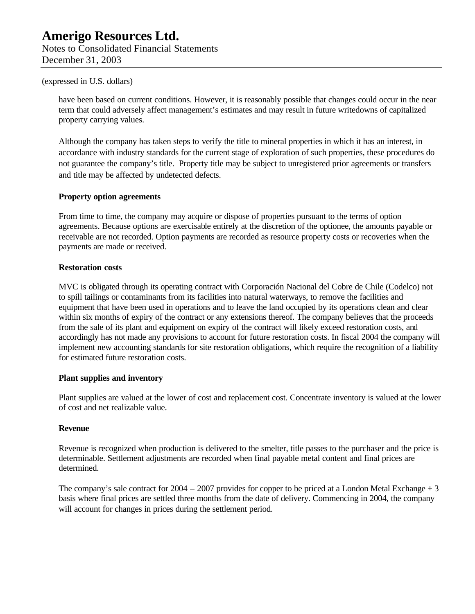Notes to Consolidated Financial Statements December 31, 2003

#### (expressed in U.S. dollars)

have been based on current conditions. However, it is reasonably possible that changes could occur in the near term that could adversely affect management's estimates and may result in future writedowns of capitalized property carrying values.

Although the company has taken steps to verify the title to mineral properties in which it has an interest, in accordance with industry standards for the current stage of exploration of such properties, these procedures do not guarantee the company's title. Property title may be subject to unregistered prior agreements or transfers and title may be affected by undetected defects.

#### **Property option agreements**

From time to time, the company may acquire or dispose of properties pursuant to the terms of option agreements. Because options are exercisable entirely at the discretion of the optionee, the amounts payable or receivable are not recorded. Option payments are recorded as resource property costs or recoveries when the payments are made or received.

#### **Restoration costs**

MVC is obligated through its operating contract with Corporación Nacional del Cobre de Chile (Codelco) not to spill tailings or contaminants from its facilities into natural waterways, to remove the facilities and equipment that have been used in operations and to leave the land occupied by its operations clean and clear within six months of expiry of the contract or any extensions thereof. The company believes that the proceeds from the sale of its plant and equipment on expiry of the contract will likely exceed restoration costs, and accordingly has not made any provisions to account for future restoration costs. In fiscal 2004 the company will implement new accounting standards for site restoration obligations, which require the recognition of a liability for estimated future restoration costs.

#### **Plant supplies and inventory**

Plant supplies are valued at the lower of cost and replacement cost. Concentrate inventory is valued at the lower of cost and net realizable value.

#### **Revenue**

Revenue is recognized when production is delivered to the smelter, title passes to the purchaser and the price is determinable. Settlement adjustments are recorded when final payable metal content and final prices are determined.

The company's sale contract for  $2004 - 2007$  provides for copper to be priced at a London Metal Exchange  $+3$ basis where final prices are settled three months from the date of delivery. Commencing in 2004, the company will account for changes in prices during the settlement period.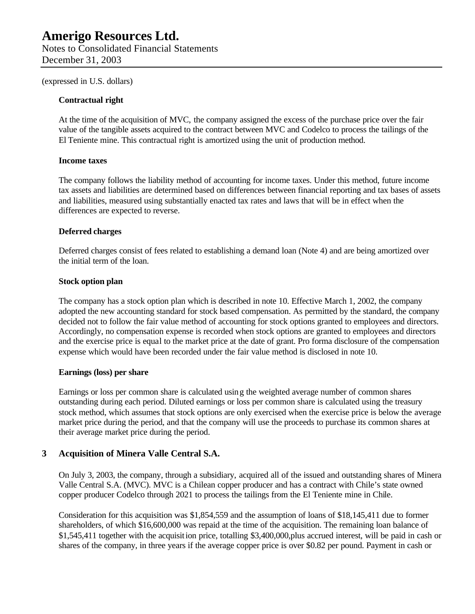(expressed in U.S. dollars)

#### **Contractual right**

At the time of the acquisition of MVC, the company assigned the excess of the purchase price over the fair value of the tangible assets acquired to the contract between MVC and Codelco to process the tailings of the El Teniente mine. This contractual right is amortized using the unit of production method.

#### **Income taxes**

The company follows the liability method of accounting for income taxes. Under this method, future income tax assets and liabilities are determined based on differences between financial reporting and tax bases of assets and liabilities, measured using substantially enacted tax rates and laws that will be in effect when the differences are expected to reverse.

#### **Deferred charges**

Deferred charges consist of fees related to establishing a demand loan (Note 4) and are being amortized over the initial term of the loan.

#### **Stock option plan**

The company has a stock option plan which is described in note 10. Effective March 1, 2002, the company adopted the new accounting standard for stock based compensation. As permitted by the standard, the company decided not to follow the fair value method of accounting for stock options granted to employees and directors. Accordingly, no compensation expense is recorded when stock options are granted to employees and directors and the exercise price is equal to the market price at the date of grant. Pro forma disclosure of the compensation expense which would have been recorded under the fair value method is disclosed in note 10.

#### **Earnings (loss) per share**

Earnings or loss per common share is calculated using the weighted average number of common shares outstanding during each period. Diluted earnings or loss per common share is calculated using the treasury stock method, which assumes that stock options are only exercised when the exercise price is below the average market price during the period, and that the company will use the proceeds to purchase its common shares at their average market price during the period.

#### **3 Acquisition of Minera Valle Central S.A.**

On July 3, 2003, the company, through a subsidiary, acquired all of the issued and outstanding shares of Minera Valle Central S.A. (MVC). MVC is a Chilean copper producer and has a contract with Chile's state owned copper producer Codelco through 2021 to process the tailings from the El Teniente mine in Chile.

Consideration for this acquisition was \$1,854,559 and the assumption of loans of \$18,145,411 due to former shareholders, of which \$16,600,000 was repaid at the time of the acquisition. The remaining loan balance of \$1,545,411 together with the acquisition price, totalling \$3,400,000,plus accrued interest, will be paid in cash or shares of the company, in three years if the average copper price is over \$0.82 per pound. Payment in cash or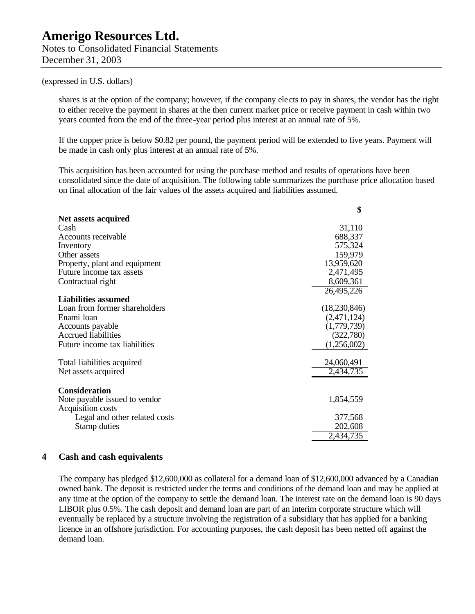#### (expressed in U.S. dollars)

shares is at the option of the company; however, if the company ele cts to pay in shares, the vendor has the right to either receive the payment in shares at the then current market price or receive payment in cash within two years counted from the end of the three-year period plus interest at an annual rate of 5%.

If the copper price is below \$0.82 per pound, the payment period will be extended to five years. Payment will be made in cash only plus interest at an annual rate of 5%.

This acquisition has been accounted for using the purchase method and results of operations have been consolidated since the date of acquisition. The following table summarizes the purchase price allocation based on final allocation of the fair values of the assets acquired and liabilities assumed.

| \$           |
|--------------|
|              |
| 31,110       |
| 688,337      |
| 575,324      |
| 159,979      |
| 13,959,620   |
| 2,471,495    |
| 8,609,361    |
| 26,495,226   |
|              |
| (18,230,846) |
| (2,471,124)  |
| (1,779,739)  |
| (322,780)    |
| (1,256,002)  |
| 24,060,491   |
| 2,434,735    |
|              |
| 1,854,559    |
|              |
| 377,568      |
| 202,608      |
| 2,434,735    |
|              |

#### **4 Cash and cash equivalents**

The company has pledged \$12,600,000 as collateral for a demand loan of \$12,600,000 advanced by a Canadian owned bank. The deposit is restricted under the terms and conditions of the demand loan and may be applied at any time at the option of the company to settle the demand loan. The interest rate on the demand loan is 90 days LIBOR plus 0.5%. The cash deposit and demand loan are part of an interim corporate structure which will eventually be replaced by a structure involving the registration of a subsidiary that has applied for a banking licence in an offshore jurisdiction. For accounting purposes, the cash deposit has been netted off against the demand loan.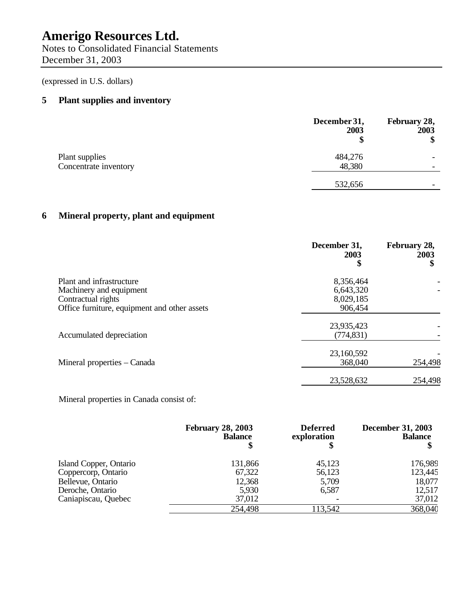Notes to Consolidated Financial Statements December 31, 2003

(expressed in U.S. dollars)

### **5 Plant supplies and inventory**

|                       | December 31,<br>2003 | February 28,<br>2003<br>Φ |
|-----------------------|----------------------|---------------------------|
| Plant supplies        | 484,276              |                           |
| Concentrate inventory | 48,380               | $\overline{\phantom{a}}$  |
|                       | 532,656              | $\overline{\phantom{a}}$  |

### **6 Mineral property, plant and equipment**

|                                                                           | December 31,<br>2003<br>\$          | February 28,<br>2003<br>\$ |
|---------------------------------------------------------------------------|-------------------------------------|----------------------------|
| Plant and infrastructure<br>Machinery and equipment<br>Contractual rights | 8,356,464<br>6,643,320<br>8,029,185 |                            |
| Office furniture, equipment and other assets                              | 906,454                             |                            |
| Accumulated depreciation                                                  | 23,935,423<br>(774, 831)            |                            |
| Mineral properties – Canada                                               | 23,160,592<br>368,040               | 254,498                    |
|                                                                           | 23,528,632                          | 254,498                    |

Mineral properties in Canada consist of:

|                        | <b>February 28, 2003</b><br><b>Balance</b> | <b>Deferred</b><br>exploration | <b>December 31, 2003</b><br><b>Balance</b> |
|------------------------|--------------------------------------------|--------------------------------|--------------------------------------------|
| Island Copper, Ontario | 131,866                                    | 45,123                         | 176,989                                    |
| Coppercorp, Ontario    | 67,322                                     | 56,123                         | 123,445                                    |
| Bellevue, Ontario      | 12,368                                     | 5,709                          | 18,077                                     |
| Deroche, Ontario       | 5,930                                      | 6,587                          | 12,517                                     |
| Caniapiscau, Quebec    | 37,012                                     |                                | 37,012                                     |
|                        | 254,498                                    | 113,542                        | 368,040                                    |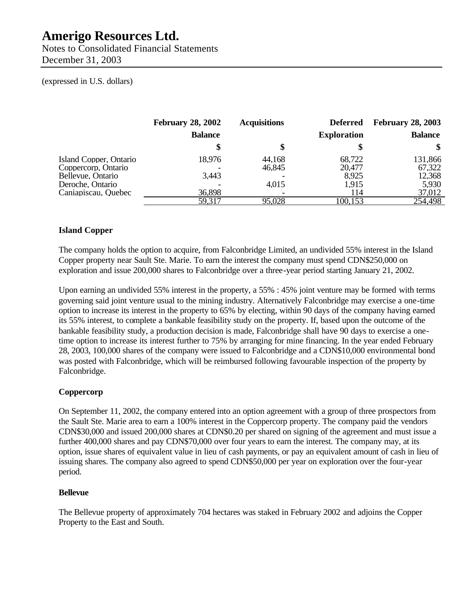Notes to Consolidated Financial Statements December 31, 2003

#### (expressed in U.S. dollars)

|                                                                                        | <b>February 28, 2002</b> | <b>Acquisitions</b>       | <b>Deferred</b>                    | <b>February 28, 2003</b>             |
|----------------------------------------------------------------------------------------|--------------------------|---------------------------|------------------------------------|--------------------------------------|
|                                                                                        | <b>Balance</b>           |                           | <b>Exploration</b>                 | <b>Balance</b>                       |
|                                                                                        |                          |                           |                                    | \$                                   |
| Island Copper, Ontario<br>Coppercorp, Ontario<br>Bellevue, Ontario<br>Deroche, Ontario | 18,976<br>3.443          | 44,168<br>46,845<br>4,015 | 68,722<br>20,477<br>8,925<br>1,915 | 131,866<br>67,322<br>12,368<br>5,930 |
| Caniapiscau, Quebec                                                                    | 36,898                   |                           | 114                                | 37,012                               |
|                                                                                        | 59,317                   | 95,028                    | 100,153                            | 254,498                              |

#### **Island Copper**

The company holds the option to acquire, from Falconbridge Limited, an undivided 55% interest in the Island Copper property near Sault Ste. Marie. To earn the interest the company must spend CDN\$250,000 on exploration and issue 200,000 shares to Falconbridge over a three-year period starting January 21, 2002.

Upon earning an undivided 55% interest in the property, a 55% : 45% joint venture may be formed with terms governing said joint venture usual to the mining industry. Alternatively Falconbridge may exercise a one-time option to increase its interest in the property to 65% by electing, within 90 days of the company having earned its 55% interest, to complete a bankable feasibility study on the property. If, based upon the outcome of the bankable feasibility study, a production decision is made, Falconbridge shall have 90 days to exercise a onetime option to increase its interest further to 75% by arranging for mine financing. In the year ended February 28, 2003, 100,000 shares of the company were issued to Falconbridge and a CDN\$10,000 environmental bond was posted with Falconbridge, which will be reimbursed following favourable inspection of the property by Falconbridge.

#### **Coppercorp**

On September 11, 2002, the company entered into an option agreement with a group of three prospectors from the Sault Ste. Marie area to earn a 100% interest in the Coppercorp property. The company paid the vendors CDN\$30,000 and issued 200,000 shares at CDN\$0.20 per shared on signing of the agreement and must issue a further 400,000 shares and pay CDN\$70,000 over four years to earn the interest. The company may, at its option, issue shares of equivalent value in lieu of cash payments, or pay an equivalent amount of cash in lieu of issuing shares. The company also agreed to spend CDN\$50,000 per year on exploration over the four-year period.

#### **Bellevue**

The Bellevue property of approximately 704 hectares was staked in February 2002 and adjoins the Copper Property to the East and South.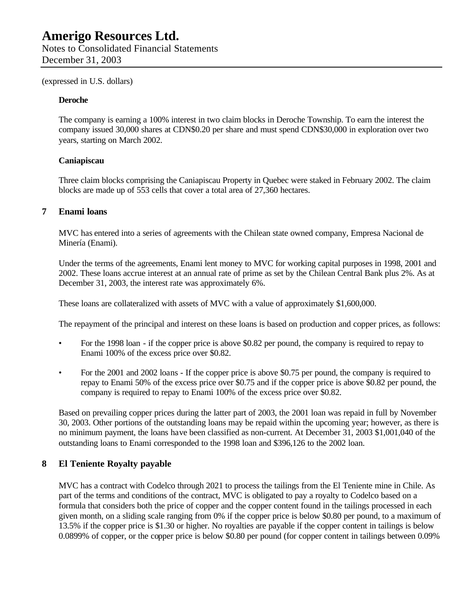(expressed in U.S. dollars)

#### **Deroche**

The company is earning a 100% interest in two claim blocks in Deroche Township. To earn the interest the company issued 30,000 shares at CDN\$0.20 per share and must spend CDN\$30,000 in exploration over two years, starting on March 2002.

#### **Caniapiscau**

Three claim blocks comprising the Caniapiscau Property in Quebec were staked in February 2002. The claim blocks are made up of 553 cells that cover a total area of 27,360 hectares.

#### **7 Enami loans**

MVC has entered into a series of agreements with the Chilean state owned company, Empresa Nacional de Minería (Enami).

Under the terms of the agreements, Enami lent money to MVC for working capital purposes in 1998, 2001 and 2002. These loans accrue interest at an annual rate of prime as set by the Chilean Central Bank plus 2%. As at December 31, 2003, the interest rate was approximately 6%.

These loans are collateralized with assets of MVC with a value of approximately \$1,600,000.

The repayment of the principal and interest on these loans is based on production and copper prices, as follows:

- For the 1998 loan if the copper price is above \$0.82 per pound, the company is required to repay to Enami 100% of the excess price over \$0.82.
- For the 2001 and 2002 loans If the copper price is above \$0.75 per pound, the company is required to repay to Enami 50% of the excess price over \$0.75 and if the copper price is above \$0.82 per pound, the company is required to repay to Enami 100% of the excess price over \$0.82.

Based on prevailing copper prices during the latter part of 2003, the 2001 loan was repaid in full by November 30, 2003. Other portions of the outstanding loans may be repaid within the upcoming year; however, as there is no minimum payment, the loans have been classified as non-current. At December 31, 2003 \$1,001,040 of the outstanding loans to Enami corresponded to the 1998 loan and \$396,126 to the 2002 loan.

#### **8 El Teniente Royalty payable**

MVC has a contract with Codelco through 2021 to process the tailings from the El Teniente mine in Chile. As part of the terms and conditions of the contract, MVC is obligated to pay a royalty to Codelco based on a formula that considers both the price of copper and the copper content found in the tailings processed in each given month, on a sliding scale ranging from 0% if the copper price is below \$0.80 per pound, to a maximum of 13.5% if the copper price is \$1.30 or higher. No royalties are payable if the copper content in tailings is below 0.0899% of copper, or the copper price is below \$0.80 per pound (for copper content in tailings between 0.09%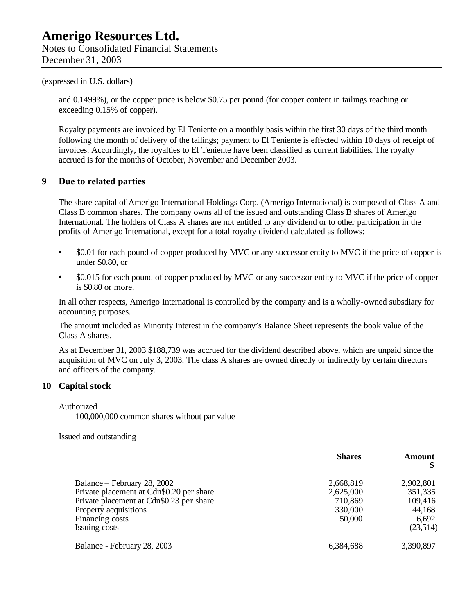#### (expressed in U.S. dollars)

and 0.1499%), or the copper price is below \$0.75 per pound (for copper content in tailings reaching or exceeding 0.15% of copper).

Royalty payments are invoiced by El Teniente on a monthly basis within the first 30 days of the third month following the month of delivery of the tailings; payment to El Teniente is effected within 10 days of receipt of invoices. Accordingly, the royalties to El Teniente have been classified as current liabilities. The royalty accrued is for the months of October, November and December 2003.

#### **9 Due to related parties**

The share capital of Amerigo International Holdings Corp. (Amerigo International) is composed of Class A and Class B common shares. The company owns all of the issued and outstanding Class B shares of Amerigo International. The holders of Class A shares are not entitled to any dividend or to other participation in the profits of Amerigo International, except for a total royalty dividend calculated as follows:

- \$0.01 for each pound of copper produced by MVC or any successor entity to MVC if the price of copper is under \$0.80, or
- \$0.015 for each pound of copper produced by MVC or any successor entity to MVC if the price of copper is \$0.80 or more.

In all other respects, Amerigo International is controlled by the company and is a wholly-owned subsdiary for accounting purposes.

The amount included as Minority Interest in the company's Balance Sheet represents the book value of the Class A shares.

As at December 31, 2003 \$188,739 was accrued for the dividend described above, which are unpaid since the acquisition of MVC on July 3, 2003. The class A shares are owned directly or indirectly by certain directors and officers of the company.

#### **10 Capital stock**

Authorized

100,000,000 common shares without par value

Issued and outstanding

|                                                                                                                                                                                  | <b>Shares</b>                                          | Amount                                                         |
|----------------------------------------------------------------------------------------------------------------------------------------------------------------------------------|--------------------------------------------------------|----------------------------------------------------------------|
| Balance – February 28, 2002<br>Private placement at Cdn\$0.20 per share<br>Private placement at Cdn\$0.23 per share<br>Property acquisitions<br>Financing costs<br>Issuing costs | 2,668,819<br>2,625,000<br>710,869<br>330,000<br>50,000 | 2,902,801<br>351,335<br>109,416<br>44,168<br>6,692<br>(23,514) |
| Balance - February 28, 2003                                                                                                                                                      | 6,384,688                                              | 3,390,897                                                      |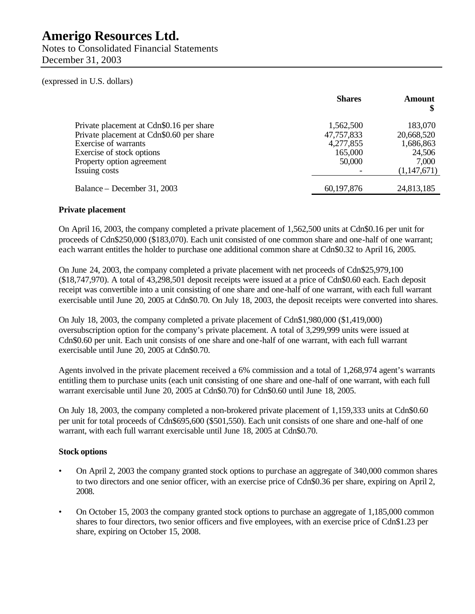Notes to Consolidated Financial Statements December 31, 2003

#### (expressed in U.S. dollars)

|                                          | <b>Shares</b> | Amount<br>\$ |
|------------------------------------------|---------------|--------------|
| Private placement at Cdn\$0.16 per share | 1,562,500     | 183,070      |
| Private placement at Cdn\$0.60 per share | 47,757,833    | 20,668,520   |
| Exercise of warrants                     | 4,277,855     | 1,686,863    |
| Exercise of stock options                | 165,000       | 24,506       |
| Property option agreement                | 50,000        | 7,000        |
| Issuing costs                            |               | (1,147,671)  |
| Balance – December 31, 2003              | 60,197,876    | 24,813,185   |

#### **Private placement**

On April 16, 2003, the company completed a private placement of 1,562,500 units at Cdn\$0.16 per unit for proceeds of Cdn\$250,000 (\$183,070). Each unit consisted of one common share and one-half of one warrant; each warrant entitles the holder to purchase one additional common share at Cdn\$0.32 to April 16, 2005.

On June 24, 2003, the company completed a private placement with net proceeds of Cdn\$25,979,100 (\$18,747,970). A total of 43,298,501 deposit receipts were issued at a price of Cdn\$0.60 each. Each deposit receipt was convertible into a unit consisting of one share and one-half of one warrant, with each full warrant exercisable until June 20, 2005 at Cdn\$0.70. On July 18, 2003, the deposit receipts were converted into shares.

On July 18, 2003, the company completed a private placement of Cdn\$1,980,000 (\$1,419,000) oversubscription option for the company's private placement. A total of 3,299,999 units were issued at Cdn\$0.60 per unit. Each unit consists of one share and one-half of one warrant, with each full warrant exercisable until June 20, 2005 at Cdn\$0.70.

Agents involved in the private placement received a 6% commission and a total of 1,268,974 agent's warrants entitling them to purchase units (each unit consisting of one share and one-half of one warrant, with each full warrant exercisable until June 20, 2005 at Cdn\$0.70) for Cdn\$0.60 until June 18, 2005.

On July 18, 2003, the company completed a non-brokered private placement of 1,159,333 units at Cdn\$0.60 per unit for total proceeds of Cdn\$695,600 (\$501,550). Each unit consists of one share and one-half of one warrant, with each full warrant exercisable until June 18, 2005 at Cdn\$0.70.

#### **Stock options**

- On April 2, 2003 the company granted stock options to purchase an aggregate of 340,000 common shares to two directors and one senior officer, with an exercise price of Cdn\$0.36 per share, expiring on April 2, 2008.
- On October 15, 2003 the company granted stock options to purchase an aggregate of 1,185,000 common shares to four directors, two senior officers and five employees, with an exercise price of Cdn\$1.23 per share, expiring on October 15, 2008.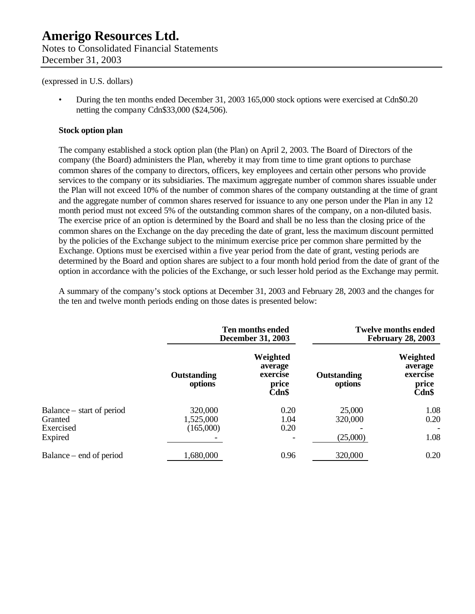(expressed in U.S. dollars)

• During the ten months ended December 31, 2003 165,000 stock options were exercised at Cdn\$0.20 netting the company Cdn\$33,000 (\$24,506).

#### **Stock option plan**

The company established a stock option plan (the Plan) on April 2, 2003. The Board of Directors of the company (the Board) administers the Plan, whereby it may from time to time grant options to purchase common shares of the company to directors, officers, key employees and certain other persons who provide services to the company or its subsidiaries. The maximum aggregate number of common shares issuable under the Plan will not exceed 10% of the number of common shares of the company outstanding at the time of grant and the aggregate number of common shares reserved for issuance to any one person under the Plan in any 12 month period must not exceed 5% of the outstanding common shares of the company, on a non-diluted basis. The exercise price of an option is determined by the Board and shall be no less than the closing price of the common shares on the Exchange on the day preceding the date of grant, less the maximum discount permitted by the policies of the Exchange subject to the minimum exercise price per common share permitted by the Exchange. Options must be exercised within a five year period from the date of grant, vesting periods are determined by the Board and option shares are subject to a four month hold period from the date of grant of the option in accordance with the policies of the Exchange, or such lesser hold period as the Exchange may permit.

A summary of the company's stock options at December 31, 2003 and February 28, 2003 and the changes for the ten and twelve month periods ending on those dates is presented below:

|                                                              | Ten months ended<br><b>December 31, 2003</b> |                                                   | <b>Twelve months ended</b><br><b>February 28, 2003</b> |                                                   |
|--------------------------------------------------------------|----------------------------------------------|---------------------------------------------------|--------------------------------------------------------|---------------------------------------------------|
|                                                              | Outstanding<br>options                       | Weighted<br>average<br>exercise<br>price<br>Cdn\$ | Outstanding<br>options                                 | Weighted<br>average<br>exercise<br>price<br>Cdn\$ |
| Balance – start of period<br>Granted<br>Exercised<br>Expired | 320,000<br>1,525,000<br>(165,000)            | 0.20<br>1.04<br>0.20                              | 25,000<br>320,000<br>(25,000)                          | 1.08<br>0.20<br>1.08                              |
| Balance – end of period                                      | 1,680,000                                    | 0.96                                              | 320,000                                                | 0.20                                              |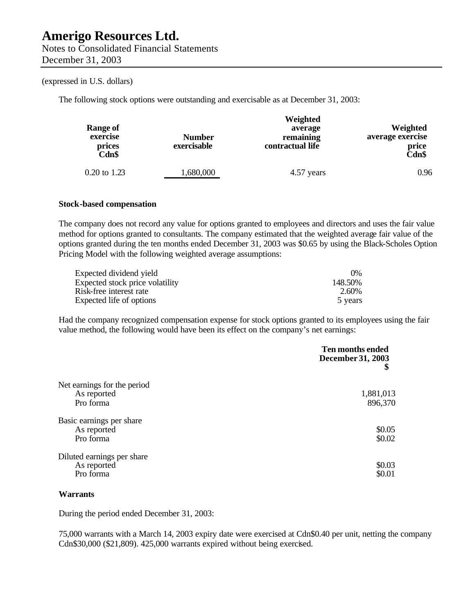#### (expressed in U.S. dollars)

The following stock options were outstanding and exercisable as at December 31, 2003:

| <b>Range of</b><br>exercise<br>prices<br>Cdn\$ | <b>Number</b><br>exercisable | Weighted<br>average<br>remaining<br>contractual life | Weighted<br>average exercise<br>price<br>Cdn\$ |
|------------------------------------------------|------------------------------|------------------------------------------------------|------------------------------------------------|
| 0.20 to 1.23                                   | ,680,000                     | 4.57 years                                           | 0.96                                           |

#### **Stock-based compensation**

The company does not record any value for options granted to employees and directors and uses the fair value method for options granted to consultants. The company estimated that the weighted average fair value of the options granted during the ten months ended December 31, 2003 was \$0.65 by using the Black-Scholes Option Pricing Model with the following weighted average assumptions:

| Expected dividend yield         | $0\%$   |
|---------------------------------|---------|
| Expected stock price volatility | 148.50% |
| Risk-free interest rate         | 2.60%   |
| Expected life of options        | 5 years |

Had the company recognized compensation expense for stock options granted to its employees using the fair value method, the following would have been its effect on the company's net earnings:

|                             | Ten months ended<br>December 31, 2003 |
|-----------------------------|---------------------------------------|
| Net earnings for the period |                                       |
| As reported                 | 1,881,013                             |
| Pro forma                   | 896,370                               |
| Basic earnings per share    |                                       |
| As reported                 | \$0.05                                |
| Pro forma                   | \$0.02                                |
| Diluted earnings per share  |                                       |
| As reported                 | \$0.03                                |
| Pro forma                   | \$0.01                                |

#### **Warrants**

During the period ended December 31, 2003:

75,000 warrants with a March 14, 2003 expiry date were exercised at Cdn\$0.40 per unit, netting the company Cdn\$30,000 (\$21,809). 425,000 warrants expired without being exercised.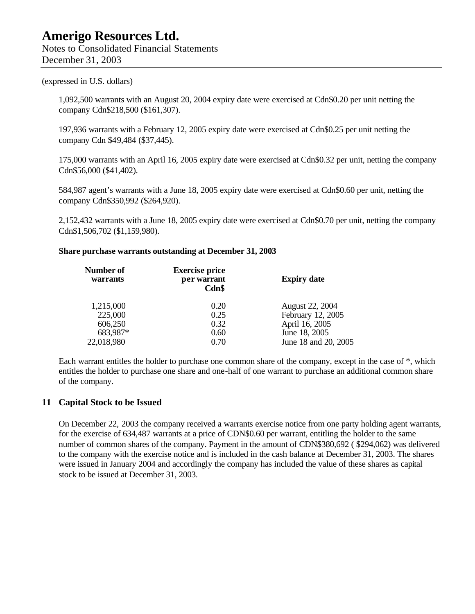Notes to Consolidated Financial Statements December 31, 2003

(expressed in U.S. dollars)

1,092,500 warrants with an August 20, 2004 expiry date were exercised at Cdn\$0.20 per unit netting the company Cdn\$218,500 (\$161,307).

197,936 warrants with a February 12, 2005 expiry date were exercised at Cdn\$0.25 per unit netting the company Cdn \$49,484 (\$37,445).

175,000 warrants with an April 16, 2005 expiry date were exercised at Cdn\$0.32 per unit, netting the company Cdn\$56,000 (\$41,402).

584,987 agent's warrants with a June 18, 2005 expiry date were exercised at Cdn\$0.60 per unit, netting the company Cdn\$350,992 (\$264,920).

2,152,432 warrants with a June 18, 2005 expiry date were exercised at Cdn\$0.70 per unit, netting the company Cdn\$1,506,702 (\$1,159,980).

#### **Share purchase warrants outstanding at December 31, 2003**

| Number of<br><b>warrants</b> | <b>Exercise price</b><br>per warrant<br>Cdn\$ | <b>Expiry date</b>     |
|------------------------------|-----------------------------------------------|------------------------|
| 1,215,000                    | 0.20                                          | <b>August 22, 2004</b> |
| 225,000                      | 0.25                                          | February 12, 2005      |
| 606,250                      | 0.32                                          | April 16, 2005         |
| 683,987*                     | 0.60                                          | June 18, 2005          |
| 22,018,980                   | 0.70                                          | June 18 and 20, 2005   |

Each warrant entitles the holder to purchase one common share of the company, except in the case of \*, which entitles the holder to purchase one share and one-half of one warrant to purchase an additional common share of the company.

#### **11 Capital Stock to be Issued**

On December 22, 2003 the company received a warrants exercise notice from one party holding agent warrants, for the exercise of 634,487 warrants at a price of CDN\$0.60 per warrant, entitling the holder to the same number of common shares of the company. Payment in the amount of CDN\$380,692 ( \$294,062) was delivered to the company with the exercise notice and is included in the cash balance at December 31, 2003. The shares were issued in January 2004 and accordingly the company has included the value of these shares as capital stock to be issued at December 31, 2003.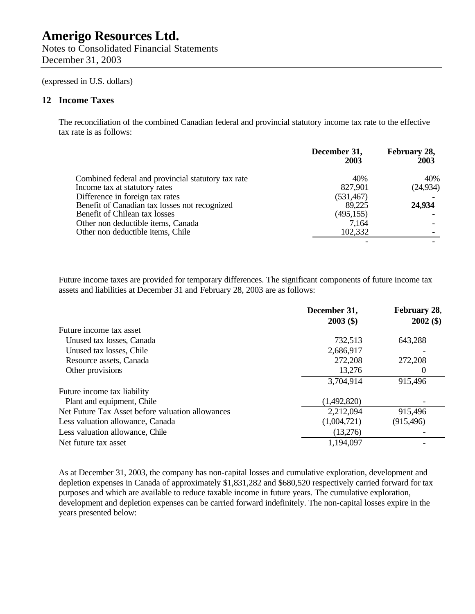Notes to Consolidated Financial Statements December 31, 2003

(expressed in U.S. dollars)

#### **12 Income Taxes**

The reconciliation of the combined Canadian federal and provincial statutory income tax rate to the effective tax rate is as follows:

|                                                    | December 31,<br>2003 | February 28,<br>2003 |
|----------------------------------------------------|----------------------|----------------------|
| Combined federal and provincial statutory tax rate | 40%                  | 40%                  |
| Income tax at statutory rates                      | 827,901              | (24, 934)            |
| Difference in foreign tax rates                    | (531, 467)           |                      |
| Benefit of Canadian tax losses not recognized      | 89,225               | 24,934               |
| Benefit of Chilean tax losses                      | (495, 155)           |                      |
| Other non deductible items, Canada                 | 7,164                |                      |
| Other non deductible items, Chile                  | 102,332              |                      |
|                                                    |                      |                      |

Future income taxes are provided for temporary differences. The significant components of future income tax assets and liabilities at December 31 and February 28, 2003 are as follows:

|                                                  | December 31,<br>$2003($ \$) | February 28,<br>$2002($ \$) |
|--------------------------------------------------|-----------------------------|-----------------------------|
| Future income tax asset                          |                             |                             |
| Unused tax losses, Canada                        | 732,513                     | 643,288                     |
| Unused tax losses, Chile                         | 2,686,917                   |                             |
| Resource assets, Canada                          | 272,208                     | 272,208                     |
| Other provisions                                 | 13,276                      | $\theta$                    |
|                                                  | 3,704,914                   | 915,496                     |
| Future income tax liability                      |                             |                             |
| Plant and equipment, Chile                       | (1,492,820)                 |                             |
| Net Future Tax Asset before valuation allowances | 2,212,094                   | 915,496                     |
| Less valuation allowance, Canada                 | (1,004,721)                 | (915, 496)                  |
| Less valuation allowance, Chile                  | (13,276)                    |                             |
| Net future tax asset                             | 1,194,097                   |                             |

As at December 31, 2003, the company has non-capital losses and cumulative exploration, development and depletion expenses in Canada of approximately \$1,831,282 and \$680,520 respectively carried forward for tax purposes and which are available to reduce taxable income in future years. The cumulative exploration, development and depletion expenses can be carried forward indefinitely. The non-capital losses expire in the years presented below: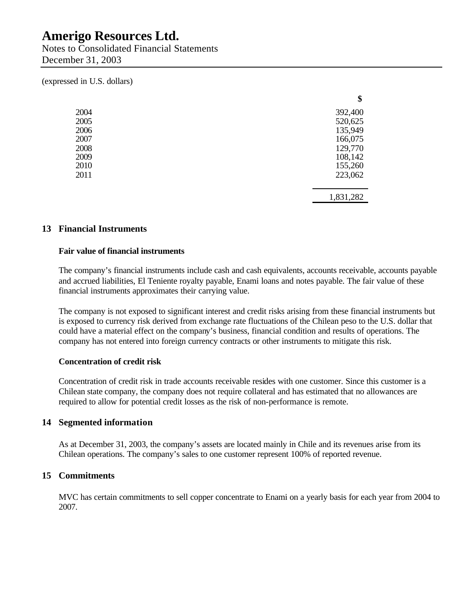Notes to Consolidated Financial Statements December 31, 2003

(expressed in U.S. dollars)

|      | \$        |
|------|-----------|
| 2004 | 392,400   |
| 2005 | 520,625   |
| 2006 | 135,949   |
| 2007 | 166,075   |
| 2008 | 129,770   |
| 2009 | 108,142   |
| 2010 | 155,260   |
| 2011 | 223,062   |
|      | 1,831,282 |

#### **13 Financial Instruments**

#### **Fair value of financial instruments**

The company's financial instruments include cash and cash equivalents, accounts receivable, accounts payable and accrued liabilities, El Teniente royalty payable, Enami loans and notes payable. The fair value of these financial instruments approximates their carrying value.

The company is not exposed to significant interest and credit risks arising from these financial instruments but is exposed to currency risk derived from exchange rate fluctuations of the Chilean peso to the U.S. dollar that could have a material effect on the company's business, financial condition and results of operations. The company has not entered into foreign currency contracts or other instruments to mitigate this risk.

#### **Concentration of credit risk**

Concentration of credit risk in trade accounts receivable resides with one customer. Since this customer is a Chilean state company, the company does not require collateral and has estimated that no allowances are required to allow for potential credit losses as the risk of non-performance is remote.

#### **14 Segmented information**

As at December 31, 2003, the company's assets are located mainly in Chile and its revenues arise from its Chilean operations. The company's sales to one customer represent 100% of reported revenue.

#### **15 Commitments**

MVC has certain commitments to sell copper concentrate to Enami on a yearly basis for each year from 2004 to 2007.